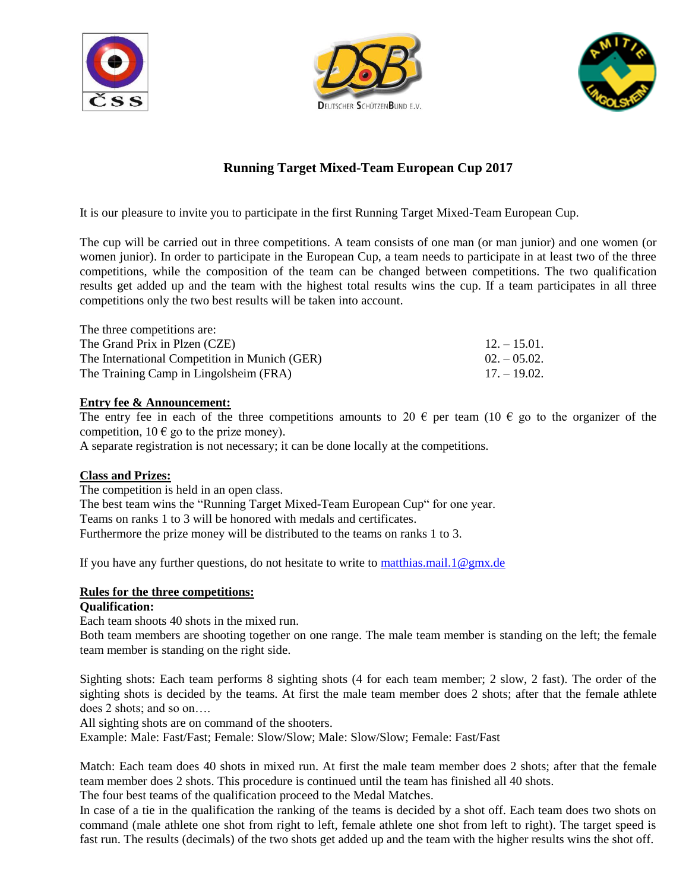





# **Running Target Mixed-Team European Cup 2017**

It is our pleasure to invite you to participate in the first Running Target Mixed-Team European Cup.

The cup will be carried out in three competitions. A team consists of one man (or man junior) and one women (or women junior). In order to participate in the European Cup, a team needs to participate in at least two of the three competitions, while the composition of the team can be changed between competitions. The two qualification results get added up and the team with the highest total results wins the cup. If a team participates in all three competitions only the two best results will be taken into account.

| The three competitions are:                   |                |
|-----------------------------------------------|----------------|
| The Grand Prix in Plzen (CZE)                 | $12. - 15.01.$ |
| The International Competition in Munich (GER) | $02. - 05.02.$ |
| The Training Camp in Lingolsheim (FRA)        | $17. - 19.02.$ |

## **Entry fee & Announcement:**

The entry fee in each of the three competitions amounts to 20  $\epsilon$  per team (10  $\epsilon$  go to the organizer of the competition,  $10 \in \text{go}$  to the prize money).

A separate registration is not necessary; it can be done locally at the competitions.

#### **Class and Prizes:**

The competition is held in an open class. The best team wins the "Running Target Mixed-Team European Cup" for one year. Teams on ranks 1 to 3 will be honored with medals and certificates. Furthermore the prize money will be distributed to the teams on ranks 1 to 3.

If you have any further questions, do not hesitate to write to [matthias.mail.1@gmx.de](mailto:matthias.mail.1@gmx.de)

#### **Rules for the three competitions:**

# **Qualification:**

Each team shoots 40 shots in the mixed run.

Both team members are shooting together on one range. The male team member is standing on the left; the female team member is standing on the right side.

Sighting shots: Each team performs 8 sighting shots (4 for each team member; 2 slow, 2 fast). The order of the sighting shots is decided by the teams. At first the male team member does 2 shots; after that the female athlete does 2 shots; and so on….

All sighting shots are on command of the shooters.

Example: Male: Fast/Fast; Female: Slow/Slow; Male: Slow/Slow; Female: Fast/Fast

Match: Each team does 40 shots in mixed run. At first the male team member does 2 shots; after that the female team member does 2 shots. This procedure is continued until the team has finished all 40 shots.

The four best teams of the qualification proceed to the Medal Matches.

In case of a tie in the qualification the ranking of the teams is decided by a shot off. Each team does two shots on command (male athlete one shot from right to left, female athlete one shot from left to right). The target speed is fast run. The results (decimals) of the two shots get added up and the team with the higher results wins the shot off.